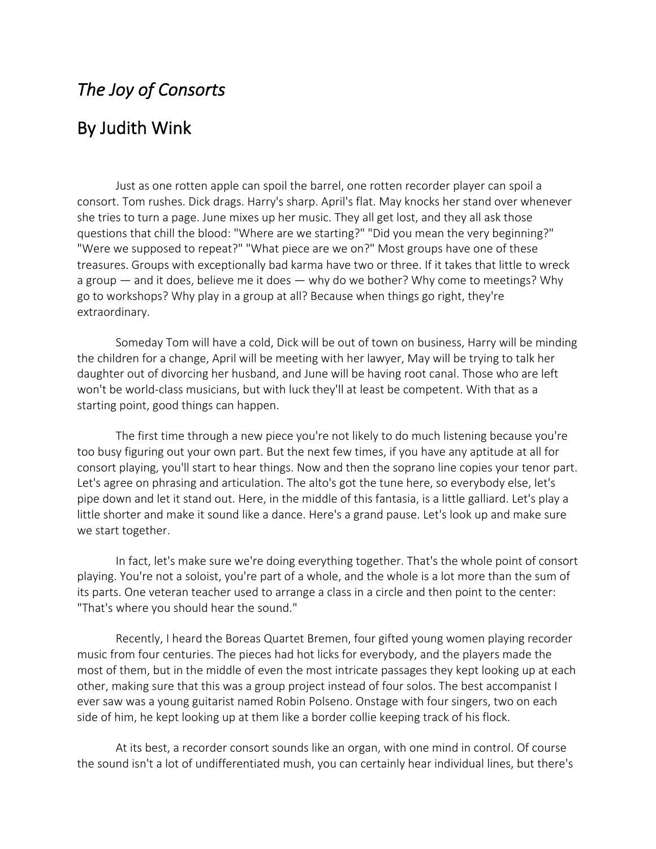## *The Joy of Consorts*

## By Judith Wink

Just as one rotten apple can spoil the barrel, one rotten recorder player can spoil a consort. Tom rushes. Dick drags. Harry's sharp. April's flat. May knocks her stand over whenever she tries to turn a page. June mixes up her music. They all get lost, and they all ask those questions that chill the blood: "Where are we starting?" "Did you mean the very beginning?" "Were we supposed to repeat?" "What piece are we on?" Most groups have one of these treasures. Groups with exceptionally bad karma have two or three. If it takes that little to wreck a group — and it does, believe me it does — why do we bother? Why come to meetings? Why go to workshops? Why play in a group at all? Because when things go right, they're extraordinary.

Someday Tom will have a cold, Dick will be out of town on business, Harry will be minding the children for a change, April will be meeting with her lawyer, May will be trying to talk her daughter out of divorcing her husband, and June will be having root canal. Those who are left won't be world-class musicians, but with luck they'll at least be competent. With that as a starting point, good things can happen.

The first time through a new piece you're not likely to do much listening because you're too busy figuring out your own part. But the next few times, if you have any aptitude at all for consort playing, you'll start to hear things. Now and then the soprano line copies your tenor part. Let's agree on phrasing and articulation. The alto's got the tune here, so everybody else, let's pipe down and let it stand out. Here, in the middle of this fantasia, is a little galliard. Let's play a little shorter and make it sound like a dance. Here's a grand pause. Let's look up and make sure we start together.

In fact, let's make sure we're doing everything together. That's the whole point of consort playing. You're not a soloist, you're part of a whole, and the whole is a lot more than the sum of its parts. One veteran teacher used to arrange a class in a circle and then point to the center: "That's where you should hear the sound."

Recently, I heard the Boreas Quartet Bremen, four gifted young women playing recorder music from four centuries. The pieces had hot licks for everybody, and the players made the most of them, but in the middle of even the most intricate passages they kept looking up at each other, making sure that this was a group project instead of four solos. The best accompanist I ever saw was a young guitarist named Robin Polseno. Onstage with four singers, two on each side of him, he kept looking up at them like a border collie keeping track of his flock.

At its best, a recorder consort sounds like an organ, with one mind in control. Of course the sound isn't a lot of undifferentiated mush, you can certainly hear individual lines, but there's